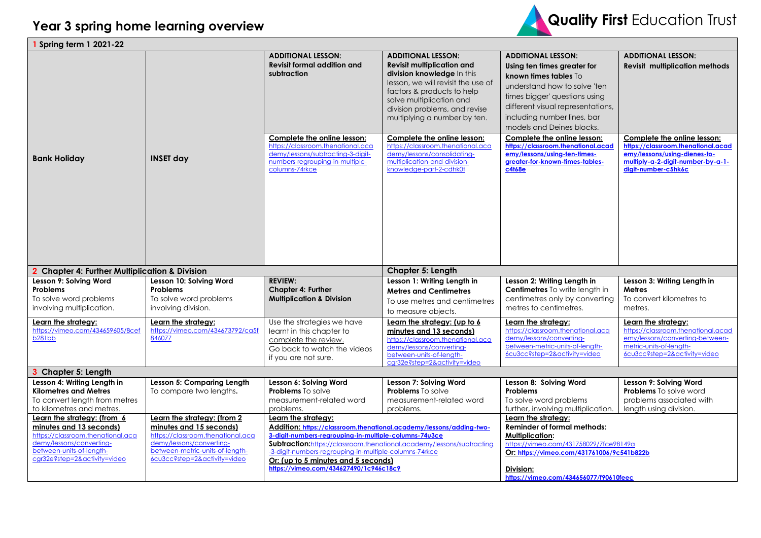

| Spring term 1 2021-22                                                                                                                                    |                                                                                             |                                                                                                                                                            |                                                                                                                                                                                                                                                               |                                                                                                                                                                                                                                                     |                                                                                                                                                               |  |
|----------------------------------------------------------------------------------------------------------------------------------------------------------|---------------------------------------------------------------------------------------------|------------------------------------------------------------------------------------------------------------------------------------------------------------|---------------------------------------------------------------------------------------------------------------------------------------------------------------------------------------------------------------------------------------------------------------|-----------------------------------------------------------------------------------------------------------------------------------------------------------------------------------------------------------------------------------------------------|---------------------------------------------------------------------------------------------------------------------------------------------------------------|--|
|                                                                                                                                                          |                                                                                             | <b>ADDITIONAL LESSON:</b><br><b>Revisit formal addition and</b><br>subtraction                                                                             | <b>ADDITIONAL LESSON:</b><br><b>Revisit multiplication and</b><br>division knowledge In this<br>lesson, we will revisit the use of<br>factors & products to help<br>solve multiplication and<br>division problems, and revise<br>multiplying a number by ten. | <b>ADDITIONAL LESSON:</b><br>Using ten times greater for<br>known times tables To<br>understand how to solve 'ten<br>times bigger' questions using<br>different visual representations,<br>including number lines, bar<br>models and Deines blocks. | <b>ADDITIONAL LESSON:</b><br><b>Revisit multiplication methods</b>                                                                                            |  |
| <b>Bank Holiday</b>                                                                                                                                      | <b>INSET day</b>                                                                            | Complete the online lesson:<br>https://classroom.thenational.aca<br>demy/lessons/subtracting-3-digit-<br>numbers-regrouping-in-multiple-<br>columns-74rkce | Complete the online lesson:<br>https://classroom.thenational.aca<br>demy/lessons/consolidatina-<br>multiplication-and-division-<br>knowledge-part-2-cdhk0t                                                                                                    | Complete the online lesson:<br>https://classroom.thenational.acad<br>emy/lessons/using-ten-times-<br>greater-for-known-times-tables-<br>c4t68e                                                                                                      | Complete the online lesson:<br>https://classroom.thenational.acad<br>emy/lessons/using-dienes-to-<br>multiply-a-2-digit-number-by-a-1-<br>diait-number-c5hk6c |  |
| 2 Chapter 4: Further Multiplication & Division                                                                                                           |                                                                                             |                                                                                                                                                            | Chapter 5: Length                                                                                                                                                                                                                                             |                                                                                                                                                                                                                                                     |                                                                                                                                                               |  |
| Lesson 9: Solving Word<br><b>Problems</b><br>To solve word problems<br>involving multiplication.                                                         | Lesson 10: Solving Word<br><b>Problems</b><br>To solve word problems<br>involving division. | <b>REVIEW:</b><br><b>Chapter 4: Further</b><br><b>Multiplication &amp; Division</b>                                                                        | Lesson 1: Writing Length in<br><b>Metres and Centimetres</b><br>To use metres and centimetres<br>to measure objects.                                                                                                                                          | Lesson 2: Writing Length in<br>Centimetres To write length in<br>centimetres only by converting<br>metres to centimetres.                                                                                                                           | Lesson 3: Writing Length in<br><b>Metres</b><br>To convert kilometres to<br>metres.                                                                           |  |
| <u>Learn the strategy:</u><br>https://vimeo.com/434659605/8cef                                                                                           | Learn the strategy:<br>https://vimeo.com/434673792/ca5f                                     | Use the strategies we have<br>learnt in this chapter to                                                                                                    | Learn the strategy: (up to 6                                                                                                                                                                                                                                  | Learn the strategy:                                                                                                                                                                                                                                 | Learn the strategy:                                                                                                                                           |  |
| b281bb                                                                                                                                                   | 846077                                                                                      | complete the review.<br>Go back to watch the videos<br>if you are not sure.                                                                                | minutes and 13 seconds)<br>https://classroom.thenational.aca<br>demy/lessons/converting-<br>between-units-of-length-<br>cgr32e?step=2&activity=video                                                                                                          | https://classroom.thenational.aca<br>demy/lessons/converting-<br>between-metric-units-of-length-<br>6cu3cc?step=2&activity=video                                                                                                                    | https://classroom.thenational.acad<br>emy/lessons/converting-between-<br>metric-units-of-lenath-<br>6cu3cc?step=2&activity=video                              |  |
| 3 Chapter 5: Length                                                                                                                                      |                                                                                             |                                                                                                                                                            |                                                                                                                                                                                                                                                               |                                                                                                                                                                                                                                                     |                                                                                                                                                               |  |
| Lesson 4: Writing Length in<br><b>Kilometres and Metres</b><br>To convert length from metres<br>to kilometres and metres.<br>Learn the strategy: (from 6 | Lesson 5: Comparing Length<br>To compare two lengths.<br>Learn the strategy: (from 2        | Lesson 6: Solving Word<br><b>Problems</b> To solve<br>measurement-related word<br>problems.<br>Learn the strategy:                                         | Lesson 7: Solving Word<br><b>Problems</b> To solve<br>measurement-related word<br>problems.                                                                                                                                                                   | Lesson 8: Solving Word<br><b>Problems</b><br>To solve word problems<br>further, involving multiplication.<br>Learn the strategy:                                                                                                                    | Lesson 9: Solving Word<br><b>Problems</b> To solve word<br>problems associated with<br>length using division.                                                 |  |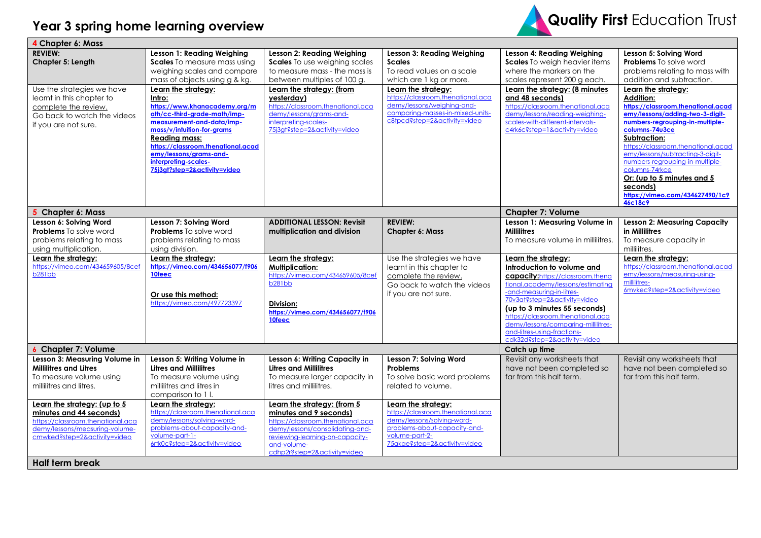## **Year 3 spring home learning overview**



| 4 Chapter 6: Mass                 |                                                            |                                   |                                   |                                               |                                                    |
|-----------------------------------|------------------------------------------------------------|-----------------------------------|-----------------------------------|-----------------------------------------------|----------------------------------------------------|
| <b>REVIEW:</b>                    | Lesson 1: Reading Weighing                                 | <b>Lesson 2: Reading Weighing</b> | Lesson 3: Reading Weighing        | Lesson 4: Reading Weighing                    | Lesson 5: Solving Word                             |
| Chapter 5: Length                 | Scales To measure mass using                               | Scales To use weighing scales     | <b>Scales</b>                     | Scales To weigh heavier items                 | Problems To solve word                             |
|                                   | weighing scales and compare                                | to measure mass - the mass is     | To read values on a scale         | where the markers on the                      | problems relating to mass with                     |
|                                   | mass of objects using g & kg.                              | between multiples of 100 g.       | which are 1 kg or more.           | scales represent 200 g each.                  | addition and subtraction.                          |
| Use the strategies we have        | Learn the strategy:                                        | Learn the strategy: (from         | Learn the strategy:               | Learn the strategy: (8 minutes                | Learn the strategy:                                |
| learnt in this chapter to         | Intro:                                                     | yesterday)                        | https://classroom.thenational.aca | and 48 seconds)                               | <b>Addition:</b>                                   |
| complete the review.              | https://www.khanacademy.org/m                              | https://classroom.thenational.aca | demy/lessons/weighing-and-        | https://classroom.thenational.aca             | https://classroom.thenational.acad                 |
| Go back to watch the videos       | ath/cc-third-grade-math/imp-                               | demy/lessons/grams-and-           | comparing-masses-in-mixed-units-  | demy/lessons/reading-weighing-                | emy/lessons/adding-two-3-digit-                    |
| if you are not sure.              | measurement-and-data/imp-                                  | interpreting-scales-              | c8tpcd?step=2&activity=video      | scales-with-different-intervals-              | numbers-regrouping-in-multiple-                    |
|                                   | mass/v/intuition-for-grams                                 | 75j3gt?step=2&activity=video      |                                   | c4rk6c?step=1&activity=video                  | columns-74u3ce                                     |
|                                   | <b>Reading mass:</b><br>https://classroom.thenational.acad |                                   |                                   |                                               | Subtraction:<br>https://classroom.thenational.acad |
|                                   | emy/lessons/grams-and-                                     |                                   |                                   |                                               | emy/lessons/subtracting-3-digit-                   |
|                                   | interpreting-scales-                                       |                                   |                                   |                                               | numbers-regrouping-in-multiple-                    |
|                                   | 7513at?step=2&activity=video                               |                                   |                                   |                                               | columns-74rkce                                     |
|                                   |                                                            |                                   |                                   |                                               | Or: (up to 5 minutes and 5                         |
|                                   |                                                            |                                   |                                   |                                               | seconds)                                           |
|                                   |                                                            |                                   |                                   |                                               | https://vimeo.com/434627490/1c9                    |
|                                   |                                                            |                                   |                                   |                                               | <b>46c18c9</b>                                     |
| 5 Chapter 6: Mass                 |                                                            |                                   |                                   | <b>Chapter 7: Volume</b>                      |                                                    |
| Lesson 6: Solving Word            | Lesson 7: Solving Word                                     | <b>ADDITIONAL LESSON: Revisit</b> | <b>REVIEW:</b>                    | Lesson 1: Measuring Volume in                 | <b>Lesson 2: Measuring Capacity</b>                |
| <b>Problems</b> To solve word     | <b>Problems</b> To solve word                              | multiplication and division       | <b>Chapter 6: Mass</b>            | <b>Millilitres</b>                            | in Millilitres                                     |
| problems relating to mass         | problems relating to mass                                  |                                   |                                   | To measure volume in millilitres.             | To measure capacity in                             |
| using multiplication.             | using division.                                            |                                   |                                   |                                               | millilitres.                                       |
|                                   |                                                            |                                   |                                   |                                               |                                                    |
| Learn the strategy:               | Learn the strategy:                                        | Learn the strategy:               | Use the strategies we have        | Learn the strategy:                           | Learn the strategy:                                |
| https://vimeo.com/434659605/8cef  | https://vimeo.com/434656077/f906                           | <b>Multiplication:</b>            | learnt in this chapter to         | Introduction to volume and                    | https://classroom.thenational.acad                 |
| <b>b281bb</b>                     | 10feec                                                     | https://vimeo.com/434659605/8cef  | complete the review.              | capacity:https://classroom.thena              | emy/lessons/measuring-using-                       |
|                                   |                                                            | b <sub>281</sub> bb               | Go back to watch the videos       | tional.academy/lessons/estimating             | millilitres-                                       |
|                                   | Or use this method:                                        |                                   | if you are not sure.              | -and-measuring-in-litres-                     | 6mvkec?step=2&activity=video                       |
|                                   | https://vimeo.com/497723397                                | Division:                         |                                   | 70v3at?step=2&activity=video                  |                                                    |
|                                   |                                                            | https://vimeo.com/434656077/f906  |                                   | (up to 3 minutes 55 seconds)                  |                                                    |
|                                   |                                                            | 10feec                            |                                   | https://classroom.thenational.aca             |                                                    |
|                                   |                                                            |                                   |                                   | demy/lessons/comparing-millilitres-           |                                                    |
|                                   |                                                            |                                   |                                   | and-litres-using-fractions-                   |                                                    |
| 6 Chapter 7: Volume               |                                                            |                                   |                                   | cdk32d?step=2&activity=video<br>Catch up time |                                                    |
| Lesson 3: Measuring Volume in     | Lesson 5: Writing Volume in                                | Lesson 6: Writing Capacity in     | Lesson 7: Solving Word            | Revisit any worksheets that                   | Revisit any worksheets that                        |
| <b>Millilitres and Litres</b>     | <b>Litres and Millilitres</b>                              | <b>Litres and Millilitres</b>     | <b>Problems</b>                   | have not been completed so                    | have not been completed so                         |
| To measure volume using           | To measure volume using                                    | To measure larger capacity in     | To solve basic word problems      | far from this half term.                      | far from this half term.                           |
| millilitres and litres.           | millilitres and litres in                                  | litres and millilitres.           | related to volume.                |                                               |                                                    |
|                                   | comparison to 11.                                          |                                   |                                   |                                               |                                                    |
| Learn the strategy: (up to 5      | Learn the strategy:                                        | Learn the strategy: (from 5       | Learn the strategy:               |                                               |                                                    |
| minutes and 44 seconds)           | https://classroom.thenational.aca                          | minutes and 9 seconds)            | https://classroom.thenational.aca |                                               |                                                    |
| https://classroom.thenational.aca | demy/lessons/solving-word-                                 | https://classroom.thenational.aca | demy/lessons/solving-word-        |                                               |                                                    |
| demy/lessons/measuring-volume-    | problems-about-capacity-and-                               | demy/lessons/consolidating-and-   | problems-about-capacity-and-      |                                               |                                                    |
| cmwked?step=2&activity=video      | volume-part-1-                                             | reviewing-learning-on-capacity-   | volume-part-2-                    |                                               |                                                    |
|                                   | 6rtk0c?step=2&activity=video                               | and-volume-                       | 75gkae?step=2&activity=video      |                                               |                                                    |
| <b>Half term break</b>            |                                                            | cdhp2r?step=2&activity=video      |                                   |                                               |                                                    |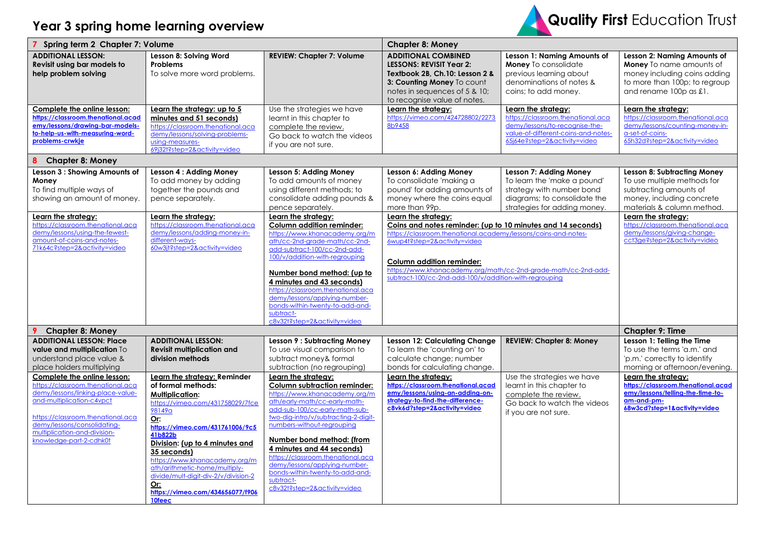## **Year 3 spring home learning overview**



| Spring term 2 Chapter 7: Volume                                                                                                                                                                                                                                   |                                                                                                                                                                                                                                                                                                                                                                                                 | <b>Chapter 8: Money</b>                                                                                                                                                                                                                                                                                                                                                                                                                                                                                                                       |                                                                                                                                                                                                                                                                                                                                                                                                                                                                                      |                                                                                                                                                                   |                                                                                                                                                                                                                                                                                   |
|-------------------------------------------------------------------------------------------------------------------------------------------------------------------------------------------------------------------------------------------------------------------|-------------------------------------------------------------------------------------------------------------------------------------------------------------------------------------------------------------------------------------------------------------------------------------------------------------------------------------------------------------------------------------------------|-----------------------------------------------------------------------------------------------------------------------------------------------------------------------------------------------------------------------------------------------------------------------------------------------------------------------------------------------------------------------------------------------------------------------------------------------------------------------------------------------------------------------------------------------|--------------------------------------------------------------------------------------------------------------------------------------------------------------------------------------------------------------------------------------------------------------------------------------------------------------------------------------------------------------------------------------------------------------------------------------------------------------------------------------|-------------------------------------------------------------------------------------------------------------------------------------------------------------------|-----------------------------------------------------------------------------------------------------------------------------------------------------------------------------------------------------------------------------------------------------------------------------------|
| <b>ADDITIONAL LESSON:</b><br>Revisit using bar models to<br>help problem solving                                                                                                                                                                                  | Lesson 8: Solving Word<br>Problems<br>To solve more word problems.                                                                                                                                                                                                                                                                                                                              | <b>REVIEW: Chapter 7: Volume</b>                                                                                                                                                                                                                                                                                                                                                                                                                                                                                                              | <b>ADDITIONAL COMBINED</b><br><b>LESSONS: REVISIT Year 2:</b><br>Textbook 2B, Ch.10: Lesson 2 &<br>3: Counting Money To count<br>notes in sequences of 5 & 10;<br>to recognise value of notes.                                                                                                                                                                                                                                                                                       | Lesson 1: Naming Amounts of<br>Money To consolidate<br>previous learning about<br>denominations of notes &<br>coins; to add money.                                | Lesson 2: Naming Amounts of<br><b>Money</b> To name amounts of<br>money including coins adding<br>to more than 100p; to regroup<br>and rename 100p as £1.                                                                                                                         |
| Complete the online lesson:<br>https://classroom.thenational.acad<br>emy/lessons/drawing-bar-models-<br>to-help-us-with-measuring-word-<br>problems-crwkje                                                                                                        | Learn the strategy: up to 5<br>minutes and 51 seconds)<br>https://classroom.thenational.aca<br>demy/lessons/solving-problems-<br>using-measures-<br>69j32t?step=2&activity=video                                                                                                                                                                                                                | Use the strategies we have<br>learnt in this chapter to<br>complete the review.<br>Go back to watch the videos<br>if you are not sure.                                                                                                                                                                                                                                                                                                                                                                                                        | Learn the strategy:<br>https://vimeo.com/424728802/2273<br>8b9458                                                                                                                                                                                                                                                                                                                                                                                                                    | Learn the strategy:<br>https://classroom.thenational.aca<br>demy/lessons/to-recognise-the-<br>value-of-different-coins-and-notes-<br>65j64e?step=2&activity=video | Learn the strategy:<br>https://classroom.thenational.aca<br>demy/lessons/counting-money-in-<br>a-set-of-coins-<br>65h32d?step=2&activity=video                                                                                                                                    |
| 8<br><b>Chapter 8: Money</b>                                                                                                                                                                                                                                      |                                                                                                                                                                                                                                                                                                                                                                                                 |                                                                                                                                                                                                                                                                                                                                                                                                                                                                                                                                               |                                                                                                                                                                                                                                                                                                                                                                                                                                                                                      |                                                                                                                                                                   |                                                                                                                                                                                                                                                                                   |
| Lesson 3 : Showing Amounts of<br>Money<br>To find multiple ways of<br>showing an amount of money.<br>Learn the strategy:<br>https://classroom.thenational.aca<br>demy/lessons/using-the-fewest-<br>amount-of-coins-and-notes-<br>71k64c?step=2&activity=video     | Lesson 4 : Adding Money<br>To add money by adding<br>together the pounds and<br>pence separately.<br>Learn the strategy:<br>https://classroom.thenational.aca<br>demy/lessons/adding-money-in-<br>different-ways-<br>60w3jt?step=2&activity=video                                                                                                                                               | Lesson 5: Adding Money<br>To add amounts of money<br>using different methods; to<br>consolidate adding pounds &<br>pence separately.<br>Learn the strategy:<br>Column addition reminder:<br>https://www.khanacademy.org/m<br>ath/cc-2nd-grade-math/cc-2nd-<br>add-subtract-100/cc-2nd-add-<br>100/v/addition-with-regrouping<br>Number bond method: (up to<br>4 minutes and 43 seconds)<br>https://classroom.thenational.aca<br>demy/lessons/applying-number-<br>bonds-within-twenty-to-add-and-<br>subtract-<br>c8v32t?step=2&activity=video | Lesson 6: Adding Money<br>To consolidate 'making a<br>pound' for adding amounts of<br>money where the coins equal<br>more than 99p.<br>Learn the strategy:<br>Coins and notes reminder: (up to 10 minutes and 14 seconds)<br>https://classroom.thenational.academy/lessons/coins-and-notes-<br>6wup4t?step=2&activity=video<br>Column addition reminder:<br>https://www.khanacademy.org/math/cc-2nd-grade-math/cc-2nd-add-<br>subtract-100/cc-2nd-add-100/v/addition-with-rearouping | Lesson 7: Adding Money<br>To learn the 'make a pound'<br>strategy with number bond<br>diagrams; to consolidate the<br>strategies for adding money.                | <b>Lesson 8: Subtracting Money</b><br>To use multiple methods for<br>subtracting amounts of<br>money, including concrete<br>materials & column method.<br>Learn the strategy:<br>https://classroom.thenational.aca<br>demy/lessons/giving-change-<br>cct3ge?step=2&activity=video |
| <b>Chapter 8: Money</b>                                                                                                                                                                                                                                           |                                                                                                                                                                                                                                                                                                                                                                                                 |                                                                                                                                                                                                                                                                                                                                                                                                                                                                                                                                               |                                                                                                                                                                                                                                                                                                                                                                                                                                                                                      |                                                                                                                                                                   | <b>Chapter 9: Time</b>                                                                                                                                                                                                                                                            |
| <b>ADDITIONAL LESSON: Place</b><br>value and multiplication To<br>understand place value &<br>place holders multiplying                                                                                                                                           | <b>ADDITIONAL LESSON:</b><br><b>Revisit multiplication and</b><br>division methods                                                                                                                                                                                                                                                                                                              | <b>Lesson 9: Subtracting Money</b><br>To use visual comparison to<br>subtract money& formal<br>subtraction (no regrouping)                                                                                                                                                                                                                                                                                                                                                                                                                    | <b>Lesson 12: Calculating Change</b><br>To learn the 'counting on' to<br>calculate change; number<br>bonds for calculating change.                                                                                                                                                                                                                                                                                                                                                   | <b>REVIEW: Chapter 8: Money</b>                                                                                                                                   | Lesson 1: Telling the Time<br>To use the terms 'a.m.' and<br>'p.m.' correctly to identify<br>morning or afternoon/evening.                                                                                                                                                        |
| Complete the online lesson:<br>https://classroom.thenational.aca<br>demy/lessons/linking-place-value-<br>and-multiplication-c4vpct<br>https://classroom.thenational.aca<br>demy/lessons/consolidating-<br>multiplication-and-division-<br>knowledge-part-2-cdhk0t | Learn the strategy: Reminder<br>of formal methods:<br><b>Multiplication:</b><br>https://vimeo.com/431758029/7fce<br>98149a<br>Or:<br>https://vimeo.com/431761006/9c5<br>41b822b<br>Division: (up to 4 minutes and<br>35 seconds)<br>https://www.khanacademy.org/m<br>ath/arithmetic-home/multiply-<br>divide/mult-digit-div-2/v/division-2<br>Or:<br>https://vimeo.com/434656077/f906<br>10feec | Learn the strategy:<br><b>Column subtraction reminder:</b><br>https://www.khanacademy.org/m<br>ath/early-math/cc-early-math-<br>add-sub-100/cc-early-math-sub-<br>two-dig-intro/v/subtracting-2-digit-<br>numbers-without-regrouping<br>Number bond method: (from<br>4 minutes and 44 seconds)<br>https://classroom.thenational.aca<br>demy/lessons/applying-number-<br>bonds-within-twenty-to-add-and-<br>subtract-<br>c8v32t?step=2&activity=video                                                                                          | Learn the strategy:<br>https://classroom.thenational.acad<br>emy/lessons/using-an-adding-on-<br>strategy-to-find-the-difference-<br>c8vk6d?step=2&activity=video                                                                                                                                                                                                                                                                                                                     | Use the strategies we have<br>learnt in this chapter to<br>complete the review.<br>Go back to watch the videos<br>if you are not sure.                            | Learn the strategy:<br>https://classroom.thenational.acad<br>emy/lessons/telling-the-time-to-<br>am-and-pm-<br>68w3cd?step=1&activity=video                                                                                                                                       |